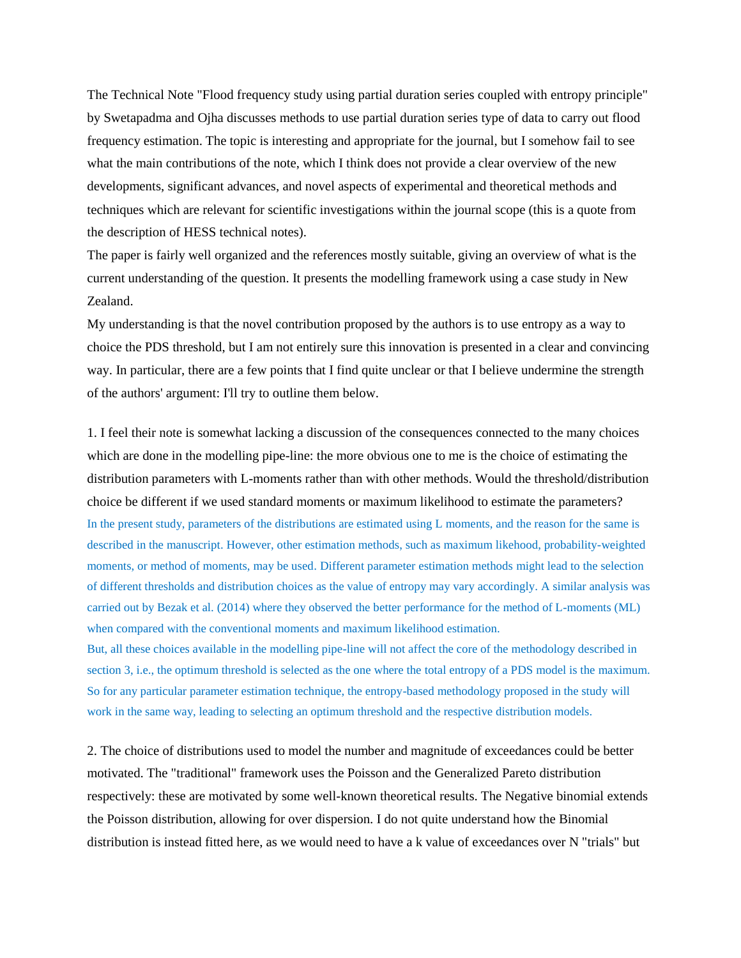The Technical Note "Flood frequency study using partial duration series coupled with entropy principle" by Swetapadma and Ojha discusses methods to use partial duration series type of data to carry out flood frequency estimation. The topic is interesting and appropriate for the journal, but I somehow fail to see what the main contributions of the note, which I think does not provide a clear overview of the new developments, significant advances, and novel aspects of experimental and theoretical methods and techniques which are relevant for scientific investigations within the journal scope (this is a quote from the description of HESS technical notes).

The paper is fairly well organized and the references mostly suitable, giving an overview of what is the current understanding of the question. It presents the modelling framework using a case study in New Zealand.

My understanding is that the novel contribution proposed by the authors is to use entropy as a way to choice the PDS threshold, but I am not entirely sure this innovation is presented in a clear and convincing way. In particular, there are a few points that I find quite unclear or that I believe undermine the strength of the authors' argument: I'll try to outline them below.

1. I feel their note is somewhat lacking a discussion of the consequences connected to the many choices which are done in the modelling pipe-line: the more obvious one to me is the choice of estimating the distribution parameters with L-moments rather than with other methods. Would the threshold/distribution choice be different if we used standard moments or maximum likelihood to estimate the parameters? In the present study, parameters of the distributions are estimated using L moments, and the reason for the same is described in the manuscript. However, other estimation methods, such as maximum likehood, probability-weighted moments, or method of moments, may be used. Different parameter estimation methods might lead to the selection of different thresholds and distribution choices as the value of entropy may vary accordingly. A similar analysis was carried out by Bezak et al. (2014) where they observed the better performance for the method of L-moments (ML) when compared with the conventional moments and maximum likelihood estimation.

But, all these choices available in the modelling pipe-line will not affect the core of the methodology described in section 3, i.e., the optimum threshold is selected as the one where the total entropy of a PDS model is the maximum. So for any particular parameter estimation technique, the entropy-based methodology proposed in the study will work in the same way, leading to selecting an optimum threshold and the respective distribution models.

2. The choice of distributions used to model the number and magnitude of exceedances could be better motivated. The "traditional" framework uses the Poisson and the Generalized Pareto distribution respectively: these are motivated by some well-known theoretical results. The Negative binomial extends the Poisson distribution, allowing for over dispersion. I do not quite understand how the Binomial distribution is instead fitted here, as we would need to have a k value of exceedances over N "trials" but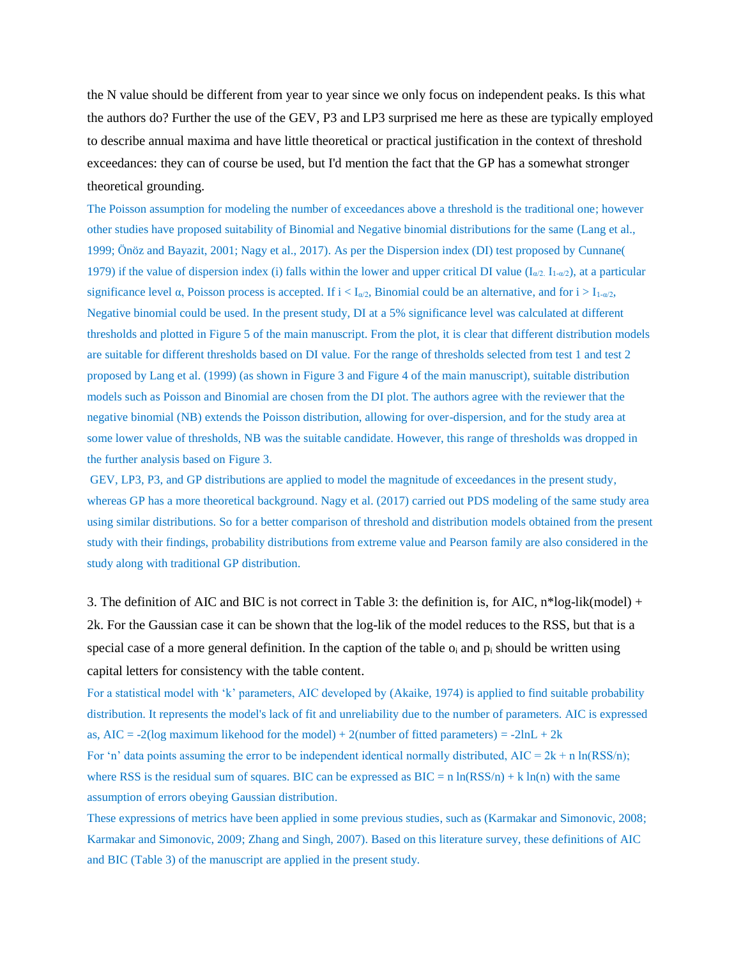the N value should be different from year to year since we only focus on independent peaks. Is this what the authors do? Further the use of the GEV, P3 and LP3 surprised me here as these are typically employed to describe annual maxima and have little theoretical or practical justification in the context of threshold exceedances: they can of course be used, but I'd mention the fact that the GP has a somewhat stronger theoretical grounding.

The Poisson assumption for modeling the number of exceedances above a threshold is the traditional one; however other studies have proposed suitability of Binomial and Negative binomial distributions for the same (Lang et al., 1999; Önöz and Bayazit, 2001; Nagy et al., 2017). As per the Dispersion index (DI) test proposed by Cunnane( 1979) if the value of dispersion index (i) falls within the lower and upper critical DI value ( $I_{\alpha/2}$ ,  $I_{1-\alpha/2}$ ), at a particular significance level  $\alpha$ , Poisson process is accepted. If  $i < I_{\alpha/2}$ , Binomial could be an alternative, and for  $i > I_{1-\alpha/2}$ , Negative binomial could be used. In the present study, DI at a 5% significance level was calculated at different thresholds and plotted in Figure 5 of the main manuscript. From the plot, it is clear that different distribution models are suitable for different thresholds based on DI value. For the range of thresholds selected from test 1 and test 2 proposed by Lang et al. (1999) (as shown in Figure 3 and Figure 4 of the main manuscript), suitable distribution models such as Poisson and Binomial are chosen from the DI plot. The authors agree with the reviewer that the negative binomial (NB) extends the Poisson distribution, allowing for over-dispersion, and for the study area at some lower value of thresholds, NB was the suitable candidate. However, this range of thresholds was dropped in the further analysis based on Figure 3.

GEV, LP3, P3, and GP distributions are applied to model the magnitude of exceedances in the present study, whereas GP has a more theoretical background. Nagy et al. (2017) carried out PDS modeling of the same study area using similar distributions. So for a better comparison of threshold and distribution models obtained from the present study with their findings, probability distributions from extreme value and Pearson family are also considered in the study along with traditional GP distribution.

3. The definition of AIC and BIC is not correct in Table 3: the definition is, for AIC,  $n^*log-lik(model) +$ 2k. For the Gaussian case it can be shown that the log-lik of the model reduces to the RSS, but that is a special case of a more general definition. In the caption of the table  $o_i$  and  $p_i$  should be written using capital letters for consistency with the table content.

For a statistical model with 'k' parameters, AIC developed by (Akaike, 1974) is applied to find suitable probability distribution. It represents the model's lack of fit and unreliability due to the number of parameters. AIC is expressed as,  $AIC = -2(log maximum likelihood for the model) + 2(number of fitted parameters) = -2lnL + 2k$ 

For 'n' data points assuming the error to be independent identical normally distributed,  $AIC = 2k + n \ln(RSS/n)$ ; where RSS is the residual sum of squares. BIC can be expressed as  $BIC = n \ln(RSS/n) + k \ln(n)$  with the same assumption of errors obeying Gaussian distribution.

These expressions of metrics have been applied in some previous studies, such as (Karmakar and Simonovic, 2008; Karmakar and Simonovic, 2009; Zhang and Singh, 2007). Based on this literature survey, these definitions of AIC and BIC (Table 3) of the manuscript are applied in the present study.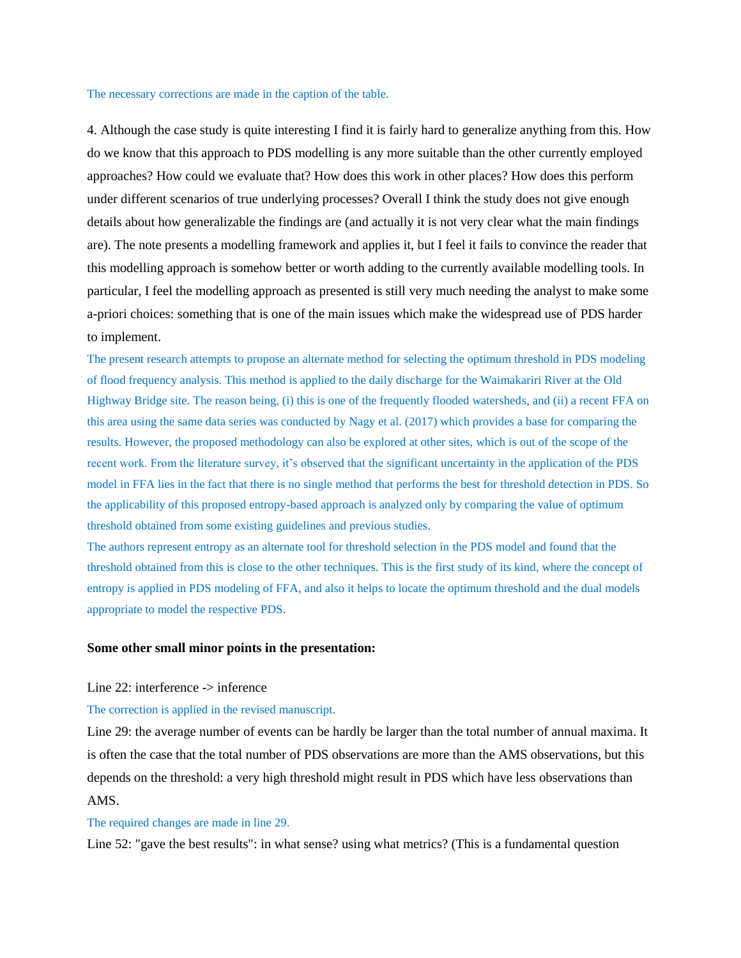## The necessary corrections are made in the caption of the table.

4. Although the case study is quite interesting I find it is fairly hard to generalize anything from this. How do we know that this approach to PDS modelling is any more suitable than the other currently employed approaches? How could we evaluate that? How does this work in other places? How does this perform under different scenarios of true underlying processes? Overall I think the study does not give enough details about how generalizable the findings are (and actually it is not very clear what the main findings are). The note presents a modelling framework and applies it, but I feel it fails to convince the reader that this modelling approach is somehow better or worth adding to the currently available modelling tools. In particular, I feel the modelling approach as presented is still very much needing the analyst to make some a-priori choices: something that is one of the main issues which make the widespread use of PDS harder to implement.

The present research attempts to propose an alternate method for selecting the optimum threshold in PDS modeling of flood frequency analysis. This method is applied to the daily discharge for the Waimakariri River at the Old Highway Bridge site. The reason being, (i) this is one of the frequently flooded watersheds, and (ii) a recent FFA on this area using the same data series was conducted by Nagy et al. (2017) which provides a base for comparing the results. However, the proposed methodology can also be explored at other sites, which is out of the scope of the recent work. From the literature survey, it's observed that the significant uncertainty in the application of the PDS model in FFA lies in the fact that there is no single method that performs the best for threshold detection in PDS. So the applicability of this proposed entropy-based approach is analyzed only by comparing the value of optimum threshold obtained from some existing guidelines and previous studies.

The authors represent entropy as an alternate tool for threshold selection in the PDS model and found that the threshold obtained from this is close to the other techniques. This is the first study of its kind, where the concept of entropy is applied in PDS modeling of FFA, and also it helps to locate the optimum threshold and the dual models appropriate to model the respective PDS.

## **Some other small minor points in the presentation:**

# Line 22: interference -> inference

### The correction is applied in the revised manuscript.

Line 29: the average number of events can be hardly be larger than the total number of annual maxima. It is often the case that the total number of PDS observations are more than the AMS observations, but this depends on the threshold: a very high threshold might result in PDS which have less observations than AMS.

# The required changes are made in line 29.

Line 52: "gave the best results": in what sense? using what metrics? (This is a fundamental question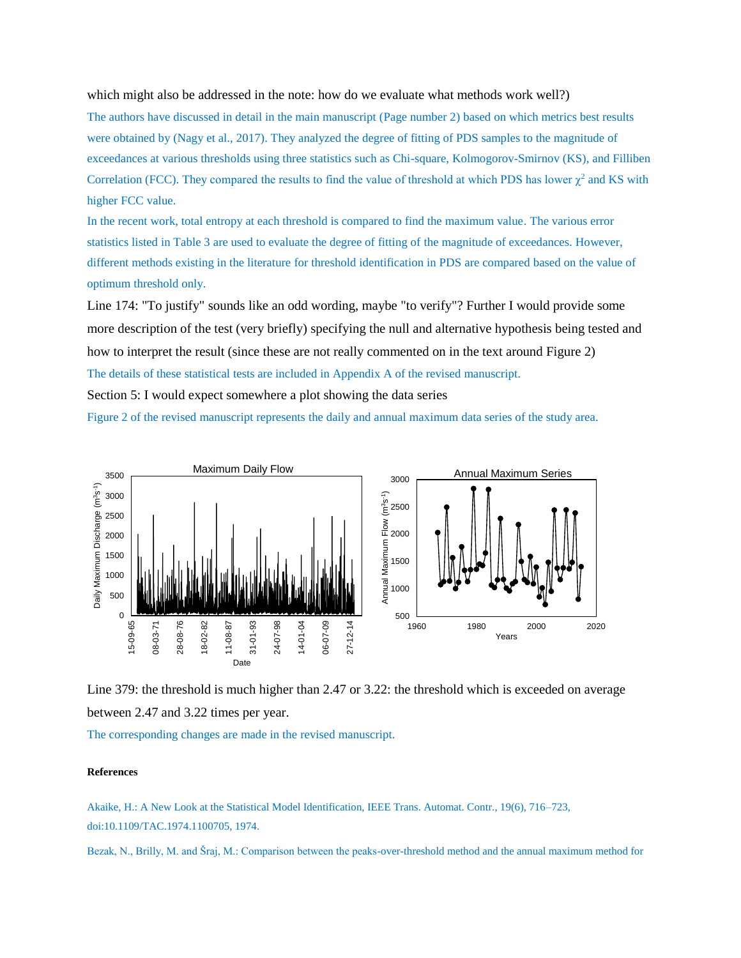which might also be addressed in the note: how do we evaluate what methods work well?)

The authors have discussed in detail in the main manuscript (Page number 2) based on which metrics best results were obtained by (Nagy et al., 2017). They analyzed the degree of fitting of PDS samples to the magnitude of exceedances at various thresholds using three statistics such as Chi-square, Kolmogorov-Smirnov (KS), and Filliben Correlation (FCC). They compared the results to find the value of threshold at which PDS has lower  $\chi^2$  and KS with higher FCC value.

In the recent work, total entropy at each threshold is compared to find the maximum value. The various error statistics listed in Table 3 are used to evaluate the degree of fitting of the magnitude of exceedances. However, different methods existing in the literature for threshold identification in PDS are compared based on the value of optimum threshold only.

Line 174: "To justify" sounds like an odd wording, maybe "to verify"? Further I would provide some more description of the test (very briefly) specifying the null and alternative hypothesis being tested and how to interpret the result (since these are not really commented on in the text around Figure 2) The details of these statistical tests are included in Appendix A of the revised manuscript.

Section 5: I would expect somewhere a plot showing the data series

Figure 2 of the revised manuscript represents the daily and annual maximum data series of the study area.



Line 379: the threshold is much higher than 2.47 or 3.22: the threshold which is exceeded on average between 2.47 and 3.22 times per year.

The corresponding changes are made in the revised manuscript.

### **References**

Akaike, H.: A New Look at the Statistical Model Identification, IEEE Trans. Automat. Contr., 19(6), 716–723, doi:10.1109/TAC.1974.1100705, 1974.

Bezak, N., Brilly, M. and Šraj, M.: Comparison between the peaks-over-threshold method and the annual maximum method for